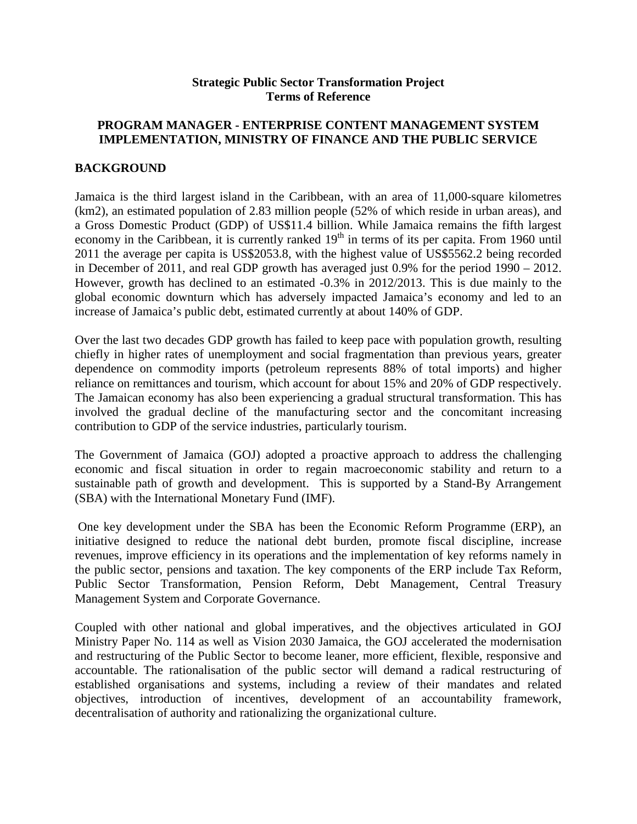### **Strategic Public Sector Transformation Project Terms of Reference**

## **PROGRAM MANAGER - ENTERPRISE CONTENT MANAGEMENT SYSTEM IMPLEMENTATION, MINISTRY OF FINANCE AND THE PUBLIC SERVICE**

### **BACKGROUND**

Jamaica is the third largest island in the Caribbean, with an area of 11,000-square kilometres (km2), an estimated population of 2.83 million people (52% of which reside in urban areas), and a Gross Domestic Product (GDP) of US\$11.4 billion. While Jamaica remains the fifth largest economy in the Caribbean, it is currently ranked  $19<sup>th</sup>$  in terms of its per capita. From 1960 until 2011 the average per capita is US\$2053.8, with the highest value of US\$5562.2 being recorded in December of 2011, and real GDP growth has averaged just 0.9% for the period 1990 – 2012. However, growth has declined to an estimated -0.3% in 2012/2013. This is due mainly to the global economic downturn which has adversely impacted Jamaica's economy and led to an increase of Jamaica's public debt, estimated currently at about 140% of GDP.

Over the last two decades GDP growth has failed to keep pace with population growth, resulting chiefly in higher rates of unemployment and social fragmentation than previous years, greater dependence on commodity imports (petroleum represents 88% of total imports) and higher reliance on remittances and tourism, which account for about 15% and 20% of GDP respectively. The Jamaican economy has also been experiencing a gradual structural transformation. This has involved the gradual decline of the manufacturing sector and the concomitant increasing contribution to GDP of the service industries, particularly tourism.

The Government of Jamaica (GOJ) adopted a proactive approach to address the challenging economic and fiscal situation in order to regain macroeconomic stability and return to a sustainable path of growth and development. This is supported by a Stand-By Arrangement (SBA) with the International Monetary Fund (IMF).

One key development under the SBA has been the Economic Reform Programme (ERP), an initiative designed to reduce the national debt burden, promote fiscal discipline, increase revenues, improve efficiency in its operations and the implementation of key reforms namely in the public sector, pensions and taxation. The key components of the ERP include Tax Reform, Public Sector Transformation, Pension Reform, Debt Management, Central Treasury Management System and Corporate Governance.

Coupled with other national and global imperatives, and the objectives articulated in GOJ Ministry Paper No. 114 as well as Vision 2030 Jamaica, the GOJ accelerated the modernisation and restructuring of the Public Sector to become leaner, more efficient, flexible, responsive and accountable. The rationalisation of the public sector will demand a radical restructuring of established organisations and systems, including a review of their mandates and related objectives, introduction of incentives, development of an accountability framework, decentralisation of authority and rationalizing the organizational culture.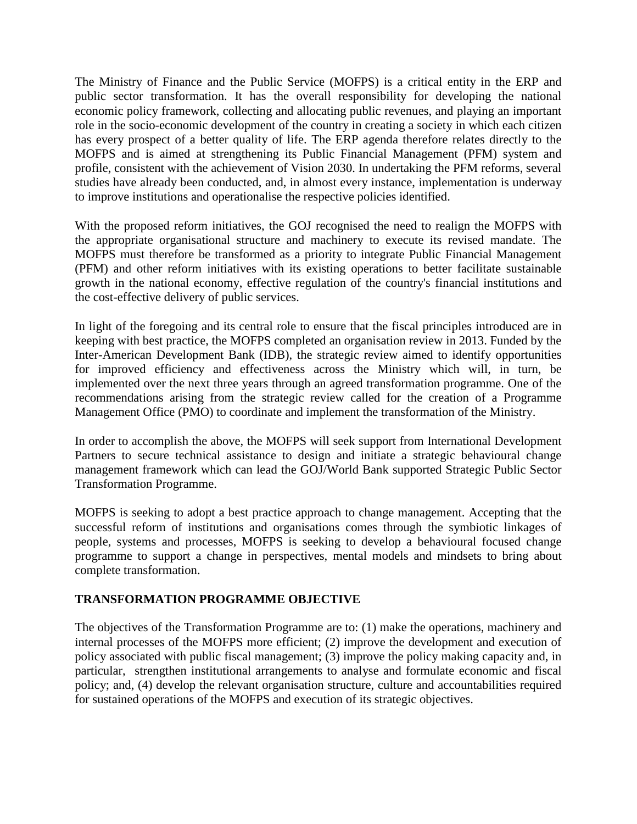The Ministry of Finance and the Public Service (MOFPS) is a critical entity in the ERP and public sector transformation. It has the overall responsibility for developing the national economic policy framework, collecting and allocating public revenues, and playing an important role in the socio-economic development of the country in creating a society in which each citizen has every prospect of a better quality of life. The ERP agenda therefore relates directly to the MOFPS and is aimed at strengthening its Public Financial Management (PFM) system and profile, consistent with the achievement of Vision 2030. In undertaking the PFM reforms, several studies have already been conducted, and, in almost every instance, implementation is underway to improve institutions and operationalise the respective policies identified.

With the proposed reform initiatives, the GOJ recognised the need to realign the MOFPS with the appropriate organisational structure and machinery to execute its revised mandate. The MOFPS must therefore be transformed as a priority to integrate Public Financial Management (PFM) and other reform initiatives with its existing operations to better facilitate sustainable growth in the national economy, effective regulation of the country's financial institutions and the cost-effective delivery of public services.

In light of the foregoing and its central role to ensure that the fiscal principles introduced are in keeping with best practice, the MOFPS completed an organisation review in 2013. Funded by the Inter-American Development Bank (IDB), the strategic review aimed to identify opportunities for improved efficiency and effectiveness across the Ministry which will, in turn, be implemented over the next three years through an agreed transformation programme. One of the recommendations arising from the strategic review called for the creation of a Programme Management Office (PMO) to coordinate and implement the transformation of the Ministry.

In order to accomplish the above, the MOFPS will seek support from International Development Partners to secure technical assistance to design and initiate a strategic behavioural change management framework which can lead the GOJ/World Bank supported Strategic Public Sector Transformation Programme.

MOFPS is seeking to adopt a best practice approach to change management. Accepting that the successful reform of institutions and organisations comes through the symbiotic linkages of people, systems and processes, MOFPS is seeking to develop a behavioural focused change programme to support a change in perspectives, mental models and mindsets to bring about complete transformation.

## **TRANSFORMATION PROGRAMME OBJECTIVE**

The objectives of the Transformation Programme are to: (1) make the operations, machinery and internal processes of the MOFPS more efficient; (2) improve the development and execution of policy associated with public fiscal management; (3) improve the policy making capacity and, in particular, strengthen institutional arrangements to analyse and formulate economic and fiscal policy; and, (4) develop the relevant organisation structure, culture and accountabilities required for sustained operations of the MOFPS and execution of its strategic objectives.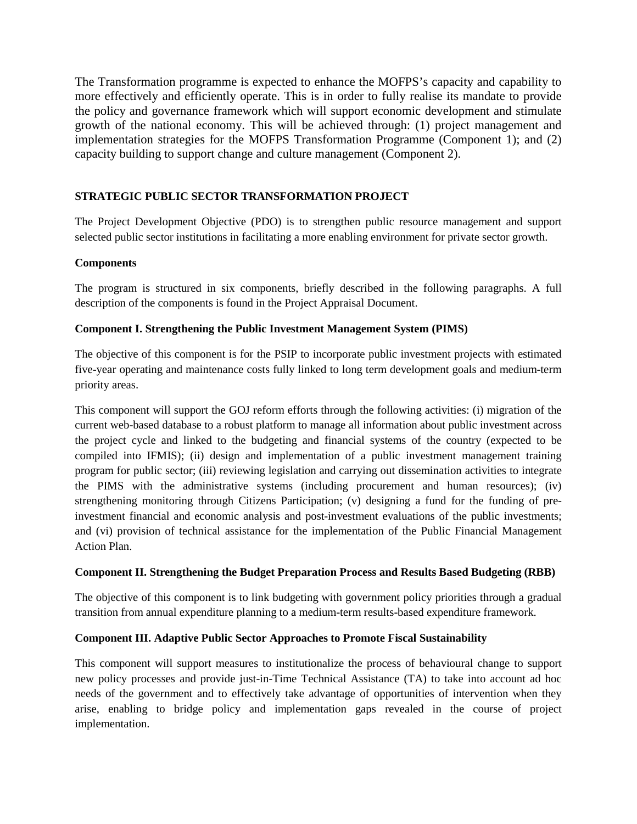The Transformation programme is expected to enhance the MOFPS's capacity and capability to more effectively and efficiently operate. This is in order to fully realise its mandate to provide the policy and governance framework which will support economic development and stimulate growth of the national economy. This will be achieved through: (1) project management and implementation strategies for the MOFPS Transformation Programme (Component 1); and (2) capacity building to support change and culture management (Component 2).

### **STRATEGIC PUBLIC SECTOR TRANSFORMATION PROJECT**

The Project Development Objective (PDO) is to strengthen public resource management and support selected public sector institutions in facilitating a more enabling environment for private sector growth.

### **Components**

The program is structured in six components, briefly described in the following paragraphs. A full description of the components is found in the Project Appraisal Document.

## **Component I. Strengthening the Public Investment Management System (PIMS)**

The objective of this component is for the PSIP to incorporate public investment projects with estimated five-year operating and maintenance costs fully linked to long term development goals and medium-term priority areas.

This component will support the GOJ reform efforts through the following activities: (i) migration of the current web-based database to a robust platform to manage all information about public investment across the project cycle and linked to the budgeting and financial systems of the country (expected to be compiled into IFMIS); (ii) design and implementation of a public investment management training program for public sector; (iii) reviewing legislation and carrying out dissemination activities to integrate the PIMS with the administrative systems (including procurement and human resources); (iv) strengthening monitoring through Citizens Participation; (v) designing a fund for the funding of preinvestment financial and economic analysis and post-investment evaluations of the public investments; and (vi) provision of technical assistance for the implementation of the Public Financial Management Action Plan.

### **Component II. Strengthening the Budget Preparation Process and Results Based Budgeting (RBB)**

The objective of this component is to link budgeting with government policy priorities through a gradual transition from annual expenditure planning to a medium-term results-based expenditure framework.

## **Component III. Adaptive Public Sector Approaches to Promote Fiscal Sustainability**

This component will support measures to institutionalize the process of behavioural change to support new policy processes and provide just-in-Time Technical Assistance (TA) to take into account ad hoc needs of the government and to effectively take advantage of opportunities of intervention when they arise, enabling to bridge policy and implementation gaps revealed in the course of project implementation.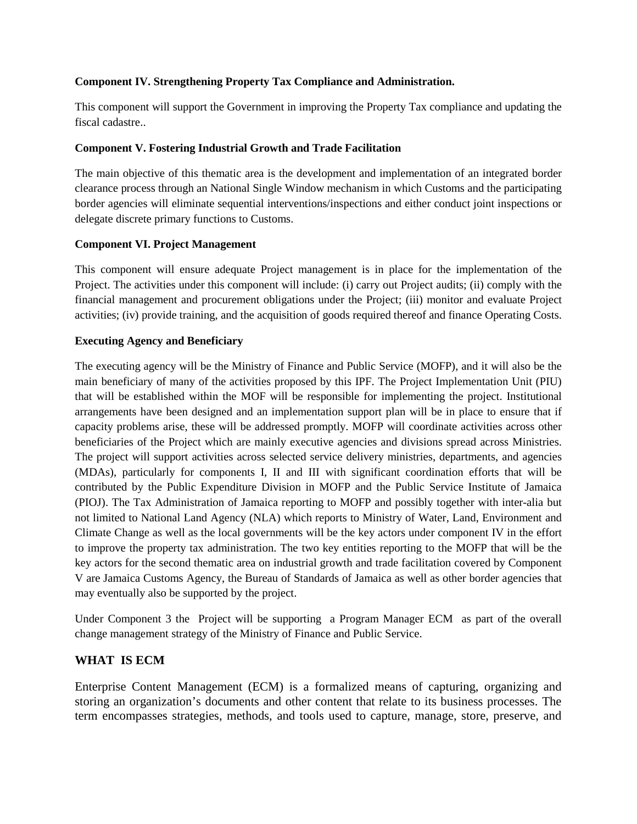#### **Component IV. Strengthening Property Tax Compliance and Administration.**

This component will support the Government in improving the Property Tax compliance and updating the fiscal cadastre..

#### **Component V. Fostering Industrial Growth and Trade Facilitation**

The main objective of this thematic area is the development and implementation of an integrated border clearance process through an National Single Window mechanism in which Customs and the participating border agencies will eliminate sequential interventions/inspections and either conduct joint inspections or delegate discrete primary functions to Customs.

#### **Component VI. Project Management**

This component will ensure adequate Project management is in place for the implementation of the Project. The activities under this component will include: (i) carry out Project audits; (ii) comply with the financial management and procurement obligations under the Project; (iii) monitor and evaluate Project activities; (iv) provide training, and the acquisition of goods required thereof and finance Operating Costs.

#### **Executing Agency and Beneficiary**

The executing agency will be the Ministry of Finance and Public Service (MOFP), and it will also be the main beneficiary of many of the activities proposed by this IPF. The Project Implementation Unit (PIU) that will be established within the MOF will be responsible for implementing the project. Institutional arrangements have been designed and an implementation support plan will be in place to ensure that if capacity problems arise, these will be addressed promptly. MOFP will coordinate activities across other beneficiaries of the Project which are mainly executive agencies and divisions spread across Ministries. The project will support activities across selected service delivery ministries, departments, and agencies (MDAs), particularly for components I, II and III with significant coordination efforts that will be contributed by the Public Expenditure Division in MOFP and the Public Service Institute of Jamaica (PIOJ). The Tax Administration of Jamaica reporting to MOFP and possibly together with inter-alia but not limited to National Land Agency (NLA) which reports to Ministry of Water, Land, Environment and Climate Change as well as the local governments will be the key actors under component IV in the effort to improve the property tax administration. The two key entities reporting to the MOFP that will be the key actors for the second thematic area on industrial growth and trade facilitation covered by Component V are Jamaica Customs Agency, the Bureau of Standards of Jamaica as well as other border agencies that may eventually also be supported by the project.

Under Component 3 the Project will be supporting a Program Manager ECM as part of the overall change management strategy of the Ministry of Finance and Public Service.

## **WHAT IS ECM**

Enterprise Content Management (ECM) is a formalized means of capturing, organizing and storing an organization's documents and other content that relate to its business processes. The term encompasses strategies, methods, and tools used to capture, manage, store, preserve, and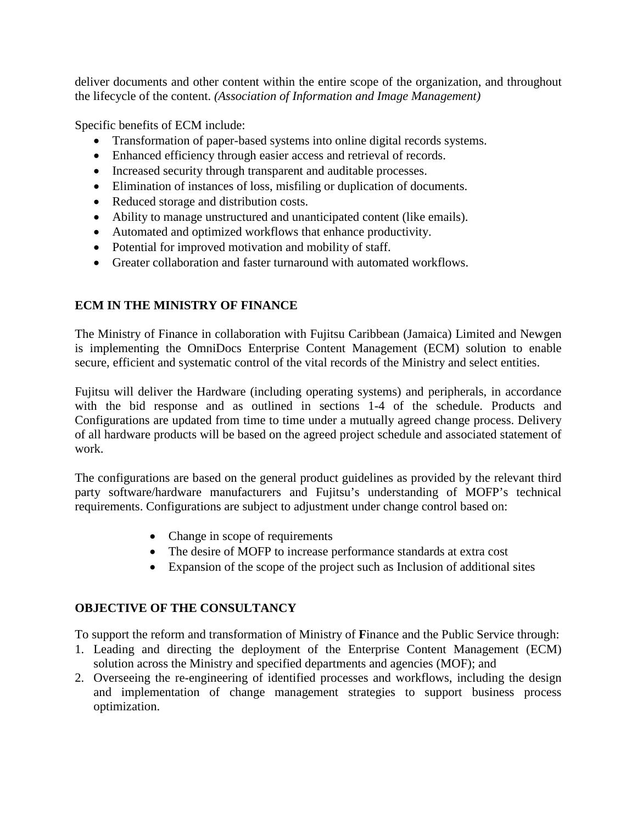deliver documents and other content within the entire scope of the organization, and throughout the lifecycle of the content. *(Association of Information and Image Management)* 

Specific benefits of ECM include:

- Transformation of paper-based systems into online digital records systems.
- Enhanced efficiency through easier access and retrieval of records.
- Increased security through transparent and auditable processes.
- Elimination of instances of loss, misfiling or duplication of documents.
- Reduced storage and distribution costs.
- Ability to manage unstructured and unanticipated content (like emails).
- Automated and optimized workflows that enhance productivity.
- Potential for improved motivation and mobility of staff.
- Greater collaboration and faster turnaround with automated workflows.

# **ECM IN THE MINISTRY OF FINANCE**

The Ministry of Finance in collaboration with Fujitsu Caribbean (Jamaica) Limited and Newgen is implementing the OmniDocs Enterprise Content Management (ECM) solution to enable secure, efficient and systematic control of the vital records of the Ministry and select entities.

Fujitsu will deliver the Hardware (including operating systems) and peripherals, in accordance with the bid response and as outlined in sections 1-4 of the schedule. Products and Configurations are updated from time to time under a mutually agreed change process. Delivery of all hardware products will be based on the agreed project schedule and associated statement of work.

The configurations are based on the general product guidelines as provided by the relevant third party software/hardware manufacturers and Fujitsu's understanding of MOFP's technical requirements. Configurations are subject to adjustment under change control based on:

- Change in scope of requirements
- The desire of MOFP to increase performance standards at extra cost
- Expansion of the scope of the project such as Inclusion of additional sites

## **OBJECTIVE OF THE CONSULTANCY**

To support the reform and transformation of Ministry of **F**inance and the Public Service through:

- 1. Leading and directing the deployment of the Enterprise Content Management (ECM) solution across the Ministry and specified departments and agencies (MOF); and
- 2. Overseeing the re-engineering of identified processes and workflows, including the design and implementation of change management strategies to support business process optimization.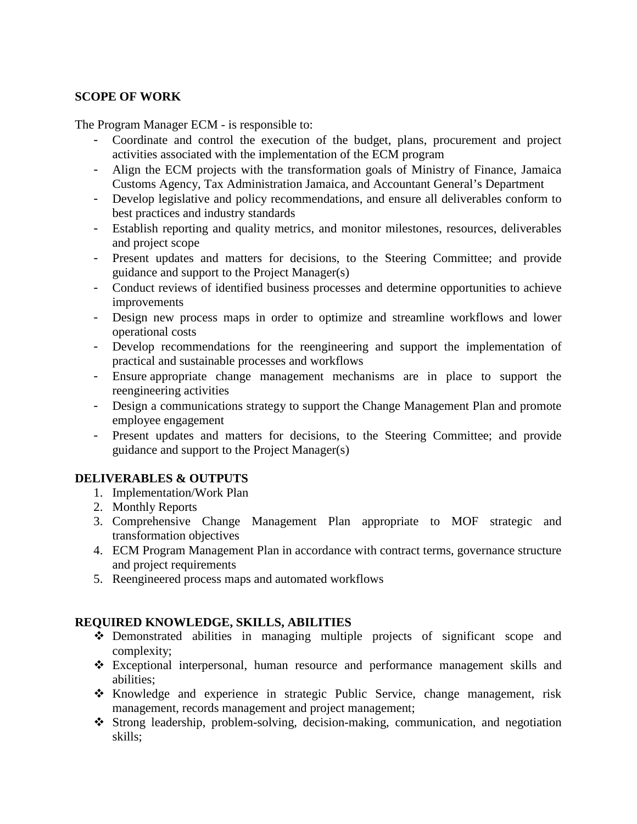## **SCOPE OF WORK**

The Program Manager ECM - is responsible to:

- Coordinate and control the execution of the budget, plans, procurement and project activities associated with the implementation of the ECM program
- Align the ECM projects with the transformation goals of Ministry of Finance, Jamaica Customs Agency, Tax Administration Jamaica, and Accountant General's Department
- Develop legislative and policy recommendations, and ensure all deliverables conform to best practices and industry standards
- Establish reporting and quality metrics, and monitor milestones, resources, deliverables and project scope
- Present updates and matters for decisions, to the Steering Committee; and provide guidance and support to the Project Manager(s)
- Conduct reviews of identified business processes and determine opportunities to achieve improvements
- Design new process maps in order to optimize and streamline workflows and lower operational costs
- Develop recommendations for the reengineering and support the implementation of practical and sustainable processes and workflows
- Ensure appropriate change management mechanisms are in place to support the reengineering activities
- Design a communications strategy to support the Change Management Plan and promote employee engagement
- Present updates and matters for decisions, to the Steering Committee; and provide guidance and support to the Project Manager(s)

### **DELIVERABLES & OUTPUTS**

- 1. Implementation/Work Plan
- 2. Monthly Reports
- 3. Comprehensive Change Management Plan appropriate to MOF strategic and transformation objectives
- 4. ECM Program Management Plan in accordance with contract terms, governance structure and project requirements
- 5. Reengineered process maps and automated workflows

## **REQUIRED KNOWLEDGE, SKILLS, ABILITIES**

- Demonstrated abilities in managing multiple projects of significant scope and complexity;
- Exceptional interpersonal, human resource and performance management skills and abilities;
- Knowledge and experience in strategic Public Service, change management, risk management, records management and project management;
- Strong leadership, problem-solving, decision-making, communication, and negotiation skills;